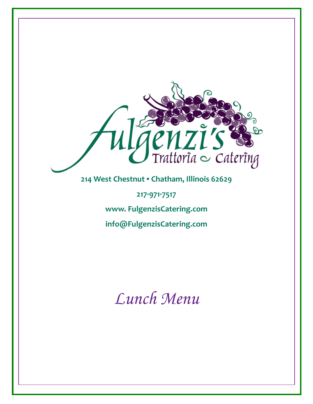

*Lunch Menu*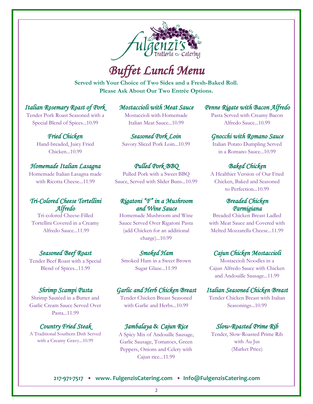

# *Buffet Lunch Menu*

**Served with Your Choice of Two Sides and a Fresh-Baked Roll. Please Ask About Our Two Entrée Options.** 

#### *Italian Rosemary Roast of Pork*

Tender Pork Roast Seasoned with a Special Blend of Spices...10.99

> *Fried Chicken* Hand-breaded, Juicy Fried Chicken...10.99

#### *Homemade Italian Lasagna*

Homemade Italian Lasagna made with Ricotta Cheese...11.99

### *Tri-Colored Cheese Tortellini Alfredo*

Tri-colored Cheese-Filled Tortellini Covered in a Creamy Alfredo Sauce...11.99

### *Seasoned Beef Roast*

Tender Beef Roast with a Special Blend of Spices...11.99

#### *Shrimp Scampi Pasta*

Shrimp Sautéed in a Butter and Garlic Cream Sauce Served Over Pasta...11.99

#### *Country Fried Steak*

A Traditional Southern Dish Served with a Creamy Gravy...10.99

*Mostaccioli with Meat Sauce*  Mostaccioli with Homemade Italian Meat Sauce...10.99

*Seasoned Pork Loin* Savory Sliced Pork Loin...10.99

#### *Pulled Pork BBQ*

Pulled Pork with a Sweet BBQ Sauce, Served with Slider Buns...10.99

### *Rigatoni "F" in a Mushroom and Wine Sauce*

Homemade Mushroom and Wine Sauce Served Over Rigatoni Pasta (add Chicken for an additional charge)...10.99

#### *Smoked Ham*

Smoked Ham in a Sweet Brown Sugar Glaze...11.99

#### *Garlic and Herb Chicken Breast*

Tender Chicken Breast Seasoned with Garlic and Herbs...10.99

### *Jambalaya* **&** *Cajun Rice*

A Spicy Mix of Andouille Sausage, Garlic Sausage, Tomatoes, Green Peppers, Onions and Celery with Cajun rice...11.99

### *Penne Rigate with Bacon Alfredo*

Pasta Served with Creamy Bacon Alfredo Sauce...10.99

#### *Gnocchi with Romano Sauce*

Italian Potato Dumpling Served in a Romano Sauce...10.99

## *Baked Chicken*

A Healthier Version of Our Fried Chicken, Baked and Seasoned to Perfection...10.99

#### *Breaded Chicken Parmigiana*

Breaded Chicken Breast Ladled with Meat Sauce and Covered with Melted Mozzarella Cheese...11.99

#### *Cajun Chicken Mostaccioli*

Mostaccioli Noodles in a Cajun Alfredo Sauce with Chicken and Andouille Sausage...11.99

#### *Italian Seasoned Chicken Breast*

Tender Chicken Breast with Italian Seasonings...10.99

## *Slow-Roasted Prime Rib*

Tender, Slow-Roasted Prime Rib with Au Jus (Market Price)

#### **217·971·7517 • www. FulgenzisCatering.com • Info@FulgenzisCatering.com**

2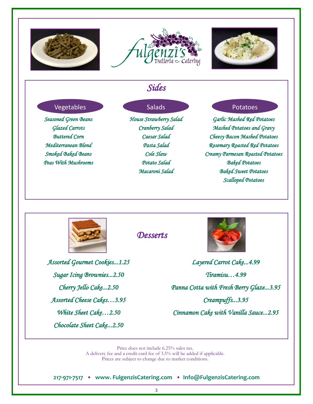





# *Sides*

#### Vegetables Salads Salads Potatoes

*Seasoned Green Beans Glazed Carrots Buttered Corn Mediterranean Blend Smoked Baked Beans Peas With Mushrooms* 

*House Strawberry Salad Cranberry Salad Caesar Salad Pasta Salad Cole Slaw Potato Salad Macaroni Salad* 

*Garlic Mashed Red Potatoes Mashed Potatoes and Gravy Cheesy Bacon Mashed Potatoes Rosemary Roasted Red Potatoes Creamy Parmesan Roasted Potatoes Baked Potatoes Baked Sweet Potatoes Scalloped Potatoes* 



*Desserts* 



*Layered Carrot Cake...4.99 Tiramisu…4.99 Panna Cotta with Fresh Berry Glaze...3.95 Creampuffs...3.95 Cinnamon Cake with Vanilla Sauce...2.95* 

Price does not include 6.25% sales tax.

A delivery fee and a credit card fee of 3.5% will be added if applicable. Prices are subject to change due to market conditions.

**217·971·7517 • www. FulgenzisCatering.com • Info@FulgenzisCatering.com**